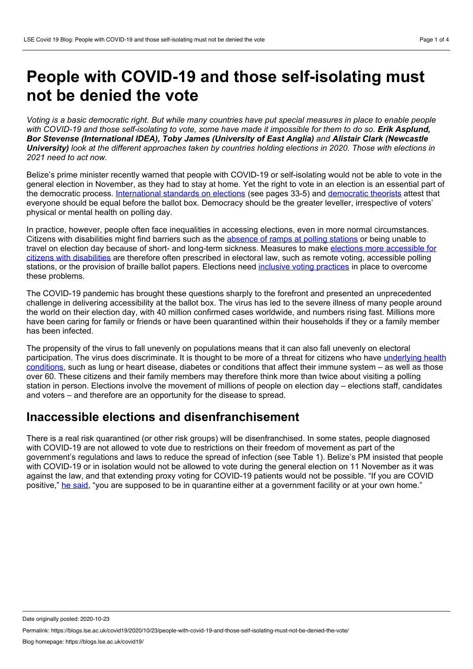# **People with COVID-19 and those self-isolating must not be denied the vote**

Voting is a basic democratic right. But while many countries have put special measures in place to enable people with COVID-19 and those self-isolating to vote, some have made it impossible for them to do so. Erik Asplund, *Bor Stevense (International IDEA), Toby James (University of East Anglia) and Alistair Clark (Newcastle* University) look at the different approaches taken by countries holding elections in 2020. Those with elections in *2021 need to act now.*

Belize's prime minister recently warned that people with COVID-19 or self-isolating would not be able to vote in the general election in November, as they had to stay at home. Yet the right to vote in an election is an essential part of the democratic process. [International](https://www.idea.int/sites/default/files/publications/international-electoral-standards-guidelines-for-reviewing-the-legal-framework-of-elections.pdf) standards on elections (see pages 33-5) and [democratic](https://www.tandfonline.com/doi/full/10.1080/01442872.2019.1694657) theorists attest that everyone should be equal before the ballot box. Democracy should be the greater leveller, irrespective of voters' physical or mental health on polling day.

In practice, however, people often face inequalities in accessing elections, even in more normal circumstances. Citizens with disabilities might find barriers such as the [absence](https://www.tandfonline.com/doi/full/10.1080/01442872.2019.1694656) of ramps at polling stations or being unable to travel on election day because of short- and long-term sickness. Measures to make elections more accessible for citizens with disabilities are therefore often prescribed in electoral law, such as remote voting, [accessible](https://www.tandfonline.com/doi/full/10.1080/01442872.2019.1694654) polling stations, or the provision of braille ballot papers. Elections need inclusive voting [practices](https://www.tandfonline.com/doi/full/10.1080/01442872.2019.1694657) in place to overcome these problems.

The COVID-19 pandemic has brought these questions sharply to the forefront and presented an unprecedented challenge in delivering accessibility at the ballot box. The virus has led to the severe illness of many people around the world on their election day, with 40 million confirmed cases worldwide, and numbers rising fast. Millions more have been caring for family or friends or have been quarantined within their households if they or a family member has been infected.

The propensity of the virus to fall unevenly on populations means that it can also fall unevenly on electoral [participation.](https://www.who.int/westernpacific/emergencies/covid-19/information/high-risk-groups) The virus does discriminate. It is thought to be more of a threat for citizens who have underlying health conditions, such as lung or heart disease, diabetes or conditions that affect their immune system – as well as those over 60. These citizens and their family members may therefore think more than twice about visiting a polling station in person. Elections involve the movement of millions of people on election day – elections staff, candidates and voters – and therefore are an opportunity for the disease to spread.

# **Inaccessible elections and disenfranchisement**

There is a real risk quarantined (or other risk groups) will be disenfranchised. In some states, people diagnosed with COVID-19 are not allowed to vote due to restrictions on their freedom of movement as part of the government's regulations and laws to reduce the spread of infection (see Table 1). Belize's PM insisted that people with COVID-19 or in isolation would not be allowed to vote during the general election on 11 November as it was against the law, and that extending proxy voting for COVID-19 patients would not be possible. "If you are COVID positive," he [said,](https://www.caribbeannationalweekly.com/caribbean-breaking-news-featured/belize-pm-says-covid-positive-persons-will-not-be-allowed-to-vote-in-general-election/) "you are supposed to be in quarantine either at a government facility or at your own home."

Date originally posted: 2020-10-23

Permalink: https://blogs.lse.ac.uk/covid19/2020/10/23/people-with-covid-19-and-those-self-isolating-must-not-be-denied-the-vote/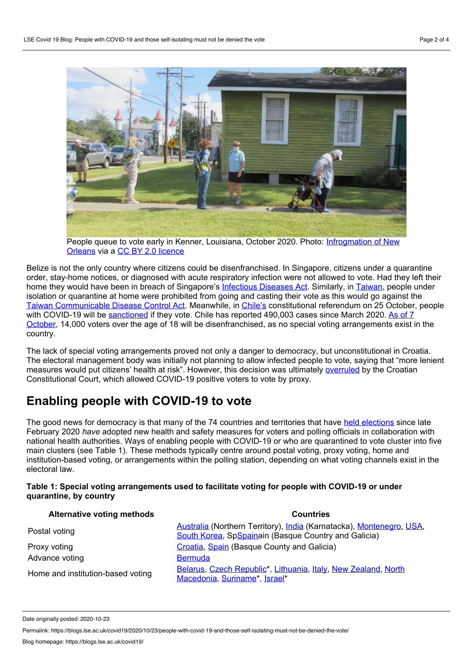

People queue to vote early in Kenner, Louisiana, October 2020. Photo: [Infrogmation](https://www.flickr.com/photos/infrogmation/50514329503/in/photolist-2jXM9gz-2jXM9CS-2jXRDoJ-2jXveuh-2jXQP1A-2jXRD1E-2jXRDcM-2jXQQjC-2jXMaH2-2jXM9YG-2jXQQ2P-2jXQQ9C-2jXQPEB-2jXMaad-2jXQPSq-2jXQQxd-2jXGvwU-2jXRCMP-2jXQQFp-2jXRCFG-2jXnCVK-2jXnEAD-2jXotxA-2jXnED9-2jXwvjQ-2jXxerw-2jY4D2c-2jY4D15-2jY3Lxa-2jY4CTw-2jY4CZZ-2jY3Lwo-2jY3Lx5-2jY3Lxq-2jXASbN-2jXALeT-2jY1ACG-2jXbxL4-2jXaH6x-2jXpSoQ-2jXun3V-2jXun1q-2jXtwpb-2jWLQNV-2jWST6B-2jWNkiB-2jXugmf-2jXxWkE-2jWDd6R-2jWPagg) of New Orleans via a CC BY 2.0 [licence](https://creativecommons.org/licenses/by/2.0/)

Belize is not the only country where citizens could be disenfranchised. In Singapore, citizens under a quarantine order, stay-home notices, or diagnosed with acute respiratory infection were not allowed to vote. Had they left their home they would have been in breach of Singapore's [Infectious](https://sso.agc.gov.sg/Act/IDA1976) Diseases Act. Similarly, in [Taiwan](https://web.cec.gov.tw/english/cms/newseng/32821), people under isolation or quarantine at home were prohibited from going and casting their vote as this would go against the Taiwan [Communicable](https://law.moj.gov.tw/ENG/LawClass/LawAll.aspx?pcode=L0050001) Disease Control Act. Meanwhile, in [Chile's](https://www.archynewsy.com/chile-threatens-sanctions-against-those-infected-with-covid-19-who-vote-in-the-constitutional-plebiscite-international/) constitutional referendum on 25 October, people with COVID-19 will be [sanctioned](https://elpais.com/internacional/2020-09-19/chile-amenza-con-sanciones-a-los-contagiados-de-covid-19-que-voten-en-el-plebiscito-constitucional.html?ssm=TW_CC) if they vote. Chile has reported 490,003 cases since March 2020. As of 7 October, 14,000 voters over the age of 18 will be [disenfranchised,](http://aceproject.org/epic-en/CDTable?view=country&question=VO003) as no special voting arrangements exist in the country.

The lack of special voting arrangements proved not only a danger to democracy, but unconstitutional in Croatia. The electoral management body was initially not planning to allow infected people to vote, saying that "more lenient measures would put citizens' health at risk". However, this decision was ultimately [overruled](https://www.nytimes.com/2020/07/05/world/europe/croatia-election-plenkovic-coronavirus.html) by the Croatian Constitutional Court, which allowed COVID-19 positive voters to vote by proxy.

# **Enabling people with COVID-19 to vote**

The good news for democracy is that many of the 74 countries and territories that have held [elections](https://www.idea.int/news-media/multimedia-reports/global-overview-covid-19-impact-elections) since late February 2020 *have* adopted new health and safety measures for voters and polling officials in collaboration with national health authorities. Ways of enabling people with COVID-19 or who are quarantined to vote cluster into five main clusters (see Table 1). These methods typically centre around postal voting, proxy voting, home and institution-based voting, or arrangements within the polling station, depending on what voting channels exist in the electoral law.

### **Table 1: Special voting arrangements used to facilitate voting for people with COVID-19 or under quarantine, by country**

| <b>Alternative voting methods</b> | <b>Countries</b>                                                                                                             |
|-----------------------------------|------------------------------------------------------------------------------------------------------------------------------|
| Postal voting                     | Australia (Northern Territory), India (Karnatacka), Montenegro, USA,<br>South Korea, SpSpainain (Basque Country and Galicia) |
| Proxy voting                      | Croatia, Spain (Basque County and Galicia)                                                                                   |
| Advance voting                    | <b>Bermuda</b>                                                                                                               |
| Home and institution-based voting | Belarus, Czech Republic*, Lithuania, Italy, New Zealand, North<br>Macedonia, Suriname*, Israel*                              |

Date originally posted: 2020-10-23

Permalink: https://blogs.lse.ac.uk/covid19/2020/10/23/people-with-covid-19-and-those-self-isolating-must-not-be-denied-the-vote/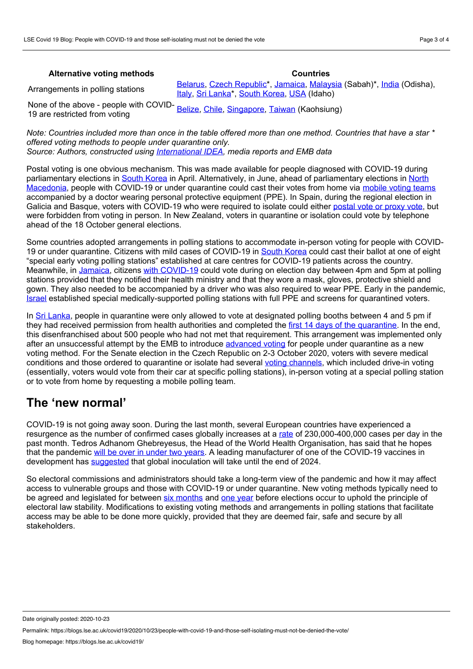#### **Alternative voting methods Countries**

Arrangements in polling stations

[Belarus,](https://sputnik.by/elections2020/20200808/1045372120/Karanik-bolnykh-koronavirusom-privezut-golosovat-na-skoroy-pomoschi.html) Czech [Republic\\*](https://www.mvcr.cz/clanek/volby-2020-zastupitelstva-kraju-a-senat.aspx?q=Y2hudW09NQ%253D%253D), [Jamaica,](http://www.jamaicaobserver.com/latestnews/_People_in_quarantine_allowed_to_vote?profile=1228) [Malaysia](https://www.straitstimes.com/asia/se-asia/malaysia-says-those-who-tested-positive-for-covid-19-cant-vote-in-sabah-polls) (Sabah)\*, [India](https://www.ndtv.com/india-news/covid-19-patients-can-vote-in-odisha-bypolls-chief-electoral-officer-2293083) (Odisha), [Italy](https://www.ilfattoquotidiano.it/2020/09/05/elezioni-regionali-e-referendum-seggi-speciali-a-domicilio-e-in-ospedale-per-chi-e-contagiato-e-in-quarantena-ecco-le-regole-del-viminale/5921193/), Sri [Lanka\\*](https://www.tribuneindia.com/news/world/sri-lanka-drops-plan-to-conduct-advance-polling-for-people-under-quarantine-118612), South [Korea](https://www.nec.go.kr/engvote_2013/05_resourcecenter/04_02.jsp?num=599&pg=1&col=&sw=), [USA](https://www.idahostatesman.com/news/coronavirus/article246279935.html) (Idaho)

None of the above - people with COVID- 19 are restricted from voting [Belize,](https://www.caribbeannationalweekly.com/caribbean-breaking-news-featured/belize-pm-says-covid-positive-persons-will-not-be-allowed-to-vote-in-general-election/) [Chile,](https://www.archynewsy.com/chile-threatens-sanctions-against-those-infected-with-covid-19-who-vote-in-the-constitutional-plebiscite-international/) [Singapore,](https://sso.agc.gov.sg/Act/IDA1976) [Taiwan](https://web.cec.gov.tw/english/cms/newseng/32821) (Kaohsiung)

Note: Countries included more than once in the table offered more than one method. Countries that have a star \* *offered voting methods to people under quarantine only. Source: Authors, constructed using [International](https://www.idea.int/news-media/multimedia-reports/global-overview-covid-19-impact-elections) IDEA, media reports and EMB data*

Postal voting is one obvious mechanism. This was made available for people diagnosed with COVID-19 during parliamentary elections in South [Korea](https://www.nec.go.kr/engvote_2013/05_resourcecenter/04_02.jsp?num=599&pg=1&col=&sw=) in April. Alternatively, in June, ahead of [parliamentary](https://www.voanews.com/europe/north-macedonia-ballot-boxes-carried-quarantined-homes) elections in North Macedonia, people with COVID-19 or under quarantine could cast their votes from home via [mobile](http://rs.n1info.com/English/NEWS/a619209/Early-elections-start-in-North-Macedonia-with-coronavirus-infected-to-vote-first.html) voting teams accompanied by a doctor wearing personal protective equipment (PPE). In Spain, during the regional election in Galicia and Basque, voters with COVID-19 who were required to isolate could either [postal](https://abcnews.go.com/Health/wireStory/spain-holds-regional-elections-amid-small-virus-outbreaks-71739588) vote or proxy vote, but were forbidden from voting in person. In New Zealand, voters in quarantine or isolation could vote by telephone ahead of the 18 October general elections.

Some countries adopted arrangements in polling stations to accommodate in-person voting for people with COVID- 19 or under quarantine. Citizens with mild cases of COVID-19 in South [Korea](https://www.nec.go.kr/engvote_2013/05_resourcecenter/04_02.jsp?num=599&pg=1&col=&sw=) could cast their ballot at one of eight "special early voting polling stations" established at care centres for COVID-19 patients across the country. Meanwhile, in [Jamaica,](http://www.jamaicaobserver.com/latestnews/_People_in_quarantine_allowed_to_vote?profile=1228) citizens with [COVID-19](https://www.caribbeannationalweekly.com/caribbean-breaking-news-featured/jamaicans-confirmed-covid-19-positive-will-be-allowed-to-vote-on-sept-3/) could vote during on election day between 4pm and 5pm at polling stations provided that they notified their health ministry and that they wore a mask, gloves, protective shield and gown. They also needed to be accompanied by a driver who was also required to wear PPE. Early in the pandemic, [Israel](https://www.haaretz.com/israel-news/elections/.premium-what-israel-s-election-looks-like-under-the-shadow-of-coronavirus-1.8615761) established special medically-supported polling stations with full PPE and screens for quarantined voters.

In Sri [Lanka,](https://www.tribuneindia.com/news/world/sri-lanka-drops-plan-to-conduct-advance-polling-for-people-under-quarantine-118612) people in quarantine were only allowed to vote at designated polling booths between 4 and 5 pm if they had received permission from health authorities and completed the first 14 days of the [quarantine](https://anfrel.org/wp-content/uploads/2020/09/Sri-Lanka-Report-2020-FINAL-ol.pdf). In the end, this disenfranchised about 500 people who had not met that requirement. This arrangement was implemented only after an unsuccessful attempt by the EMB to introduce [advanced](https://www.thehindu.com/news/international/sri-lanka-to-conduct-advance-polling-for-people-under-quarantine/article32196481.ece?fbclid=IwAR3loZhLsgfxbIPhKVhZQjw9cGauJW-1XW66YA4YGdrQv-6FOXe2Krxqrz8) voting for people under quarantine as a new voting method. For the Senate election in the Czech Republic on 2-3 October 2020, voters with severe medical conditions and those ordered to quarantine or isolate had several voting [channels](https://www.thehindu.com/news/international/sri-lanka-to-conduct-advance-polling-for-people-under-quarantine/article32196481.ece), which included drive-in voting (essentially, voters would vote from their car at specific polling stations), in-person voting at a special polling station or to vote from home by requesting a mobile polling team.

## **The 'new normal'**

COVID-19 is not going away soon. During the last month, several European countries have experienced a resurgence as the number of confirmed cases globally increases at a [rate](https://covid19.who.int/) of 230,000-400,000 cases per day in the past month. Tedros Adhanom Ghebreyesus, the Head of the World Health Organisation, has said that he hopes that the pandemic will be over in [under](https://www.bbc.co.uk/news/world-53870798) two years. A leading manufacturer of one of the COVID-19 vaccines in development has [suggested](https://www.ft.com/content/a832d5d7-4a7f-42cc-850d-8757f19c3b6b) that global inoculation will take until the end of 2024.

So electoral commissions and administrators should take a long-term view of the pandemic and how it may affect access to vulnerable groups and those with COVID-19 or under quarantine. New voting methods typically need to be agreed and legislated for between six [months](https://www.eisa.org/pdf/ecowas2001protocol.pdf) and one [year](https://www.venice.coe.int/webforms/documents/default.aspx?pdffile=CDL-AD(2002)023rev2-cor-e) before elections occur to uphold the principle of electoral law stability. Modifications to existing voting methods and arrangements in polling stations that facilitate access may be able to be done more quickly, provided that they are deemed fair, safe and secure by all stakeholders.

Date originally posted: 2020-10-23

Permalink: https://blogs.lse.ac.uk/covid19/2020/10/23/people-with-covid-19-and-those-self-isolating-must-not-be-denied-the-vote/